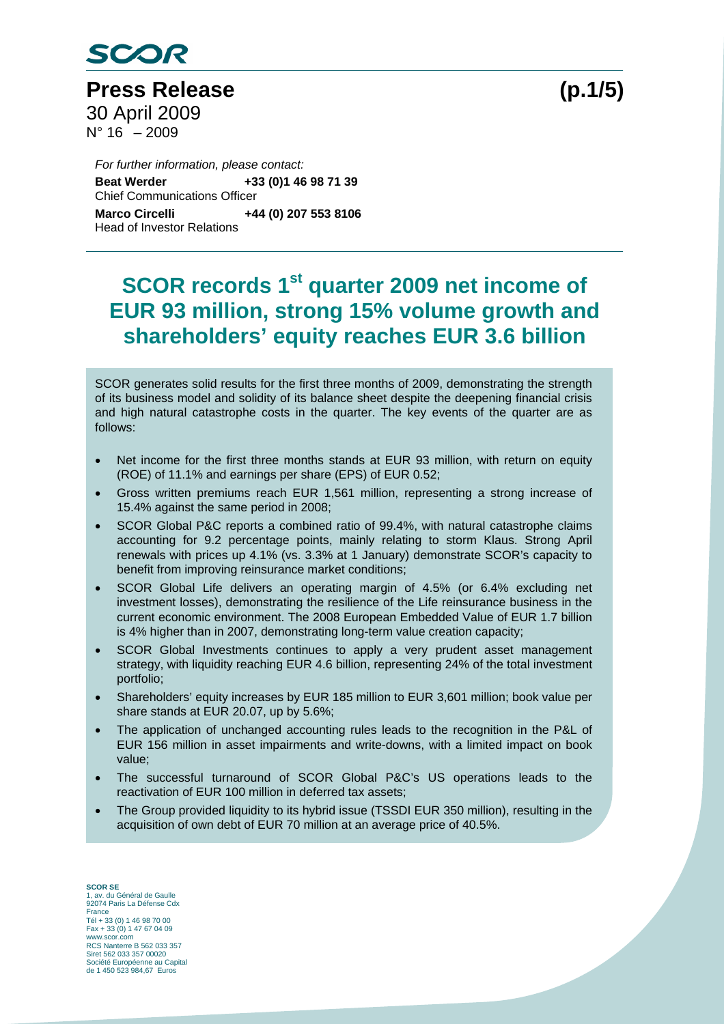

**Press Release (p.1/5)**  30 April 2009  $N^{\circ}$  16 – 2009

**Beat Werder** *For further information, please contact:*  **Beat Werder +33 (0)1 46 98 71 39**  Chief Communications Officer **Marco Circelli +44 (0) 207 553 8106**  Head of Investor Relations

# **SCOR records 1st quarter 2009 net income of EUR 93 million, strong 15% volume growth and shareholders' equity reaches EUR 3.6 billion**

SCOR generates solid results for the first three months of 2009, demonstrating the strength of its business model and solidity of its balance sheet despite the deepening financial crisis and high natural catastrophe costs in the quarter. The key events of the quarter are as follows:

- Net income for the first three months stands at EUR 93 million, with return on equity (ROE) of 11.1% and earnings per share (EPS) of EUR 0.52;
- Gross written premiums reach EUR 1,561 million, representing a strong increase of 15.4% against the same period in 2008;
- SCOR Global P&C reports a combined ratio of 99.4%, with natural catastrophe claims accounting for 9.2 percentage points, mainly relating to storm Klaus. Strong April renewals with prices up 4.1% (vs. 3.3% at 1 January) demonstrate SCOR's capacity to benefit from improving reinsurance market conditions;
- SCOR Global Life delivers an operating margin of 4.5% (or 6.4% excluding net investment losses), demonstrating the resilience of the Life reinsurance business in the current economic environment. The 2008 European Embedded Value of EUR 1.7 billion is 4% higher than in 2007, demonstrating long-term value creation capacity;
- SCOR Global Investments continues to apply a very prudent asset management strategy, with liquidity reaching EUR 4.6 billion, representing 24% of the total investment portfolio;
- Shareholders' equity increases by EUR 185 million to EUR 3,601 million; book value per share stands at EUR 20.07, up by 5.6%;
- The application of unchanged accounting rules leads to the recognition in the P&L of EUR 156 million in asset impairments and write-downs, with a limited impact on book value;
- The successful turnaround of SCOR Global P&C's US operations leads to the reactivation of EUR 100 million in deferred tax assets;
- The Group provided liquidity to its hybrid issue (TSSDI EUR 350 million), resulting in the acquisition of own debt of EUR 70 million at an average price of 40.5%.

**SCOR SE**  1, av. du Général de Gaulle 92074 Paris La Défense Cdx France Tél + 33 (0) 1 46 98 70 00 Fax + 33 (0) 1 47 67 04 09 www.scor.com RCS Nanterre B 562 033 357 Siret 562 033 357 00020 Société Européenne au Capital de 1 450 523 984,67 Euros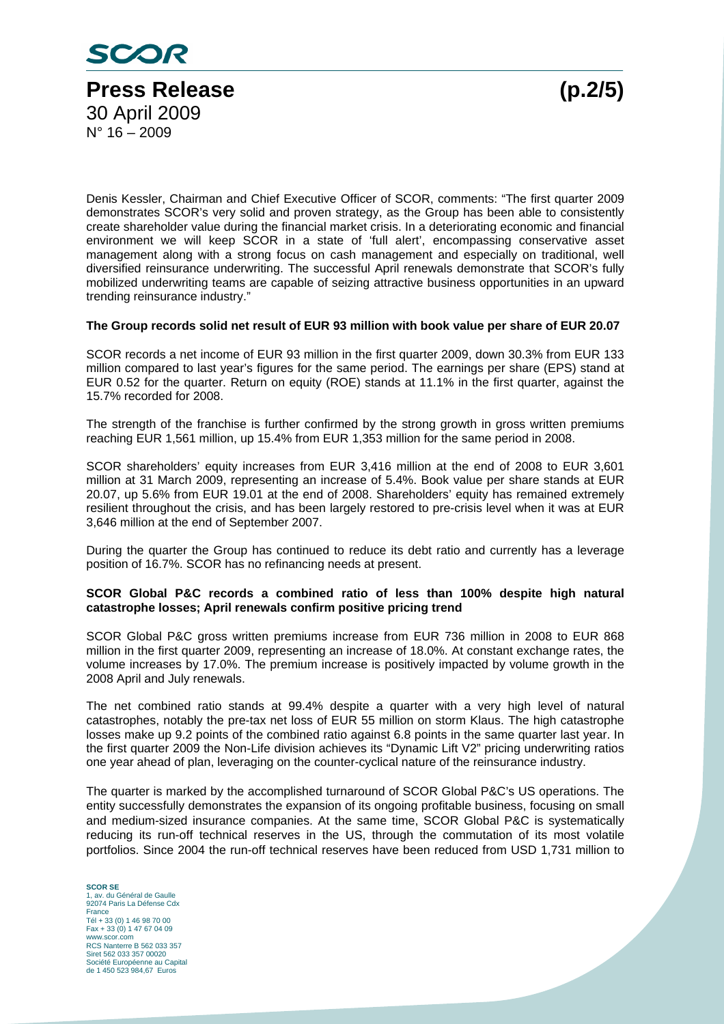

Denis Kessler, Chairman and Chief Executive Officer of SCOR, comments: "The first quarter 2009 demonstrates SCOR's very solid and proven strategy, as the Group has been able to consistently create shareholder value during the financial market crisis. In a deteriorating economic and financial environment we will keep SCOR in a state of 'full alert', encompassing conservative asset management along with a strong focus on cash management and especially on traditional, well diversified reinsurance underwriting. The successful April renewals demonstrate that SCOR's fully mobilized underwriting teams are capable of seizing attractive business opportunities in an upward trending reinsurance industry."

#### **The Group records solid net result of EUR 93 million with book value per share of EUR 20.07**

SCOR records a net income of EUR 93 million in the first quarter 2009, down 30.3% from EUR 133 million compared to last year's figures for the same period. The earnings per share (EPS) stand at EUR 0.52 for the quarter. Return on equity (ROE) stands at 11.1% in the first quarter, against the 15.7% recorded for 2008.

The strength of the franchise is further confirmed by the strong growth in gross written premiums reaching EUR 1,561 million, up 15.4% from EUR 1,353 million for the same period in 2008.

SCOR shareholders' equity increases from EUR 3,416 million at the end of 2008 to EUR 3,601 million at 31 March 2009, representing an increase of 5.4%. Book value per share stands at EUR 20.07, up 5.6% from EUR 19.01 at the end of 2008. Shareholders' equity has remained extremely resilient throughout the crisis, and has been largely restored to pre-crisis level when it was at EUR 3,646 million at the end of September 2007.

During the quarter the Group has continued to reduce its debt ratio and currently has a leverage position of 16.7%. SCOR has no refinancing needs at present.

### **SCOR Global P&C records a combined ratio of less than 100% despite high natural catastrophe losses; April renewals confirm positive pricing trend**

SCOR Global P&C gross written premiums increase from EUR 736 million in 2008 to EUR 868 million in the first quarter 2009, representing an increase of 18.0%. At constant exchange rates, the volume increases by 17.0%. The premium increase is positively impacted by volume growth in the 2008 April and July renewals.

The net combined ratio stands at 99.4% despite a quarter with a very high level of natural catastrophes, notably the pre-tax net loss of EUR 55 million on storm Klaus. The high catastrophe losses make up 9.2 points of the combined ratio against 6.8 points in the same quarter last year. In the first quarter 2009 the Non-Life division achieves its "Dynamic Lift V2" pricing underwriting ratios one year ahead of plan, leveraging on the counter-cyclical nature of the reinsurance industry.

The quarter is marked by the accomplished turnaround of SCOR Global P&C's US operations. The entity successfully demonstrates the expansion of its ongoing profitable business, focusing on small and medium-sized insurance companies. At the same time, SCOR Global P&C is systematically reducing its run-off technical reserves in the US, through the commutation of its most volatile portfolios. Since 2004 the run-off technical reserves have been reduced from USD 1,731 million to

**SCOR SE**  1, av. du Général de Gaulle 92074 Paris La Défense Cdx France Tél + 33 (0) 1 46 98 70 00 Fax + 33 (0) 1 47 67 04 09 www.scor.com RCS Nanterre B 562 033 357 Siret 562 033 357 00020 Société Européenne au Capital de 1 450 523 984,67 Euros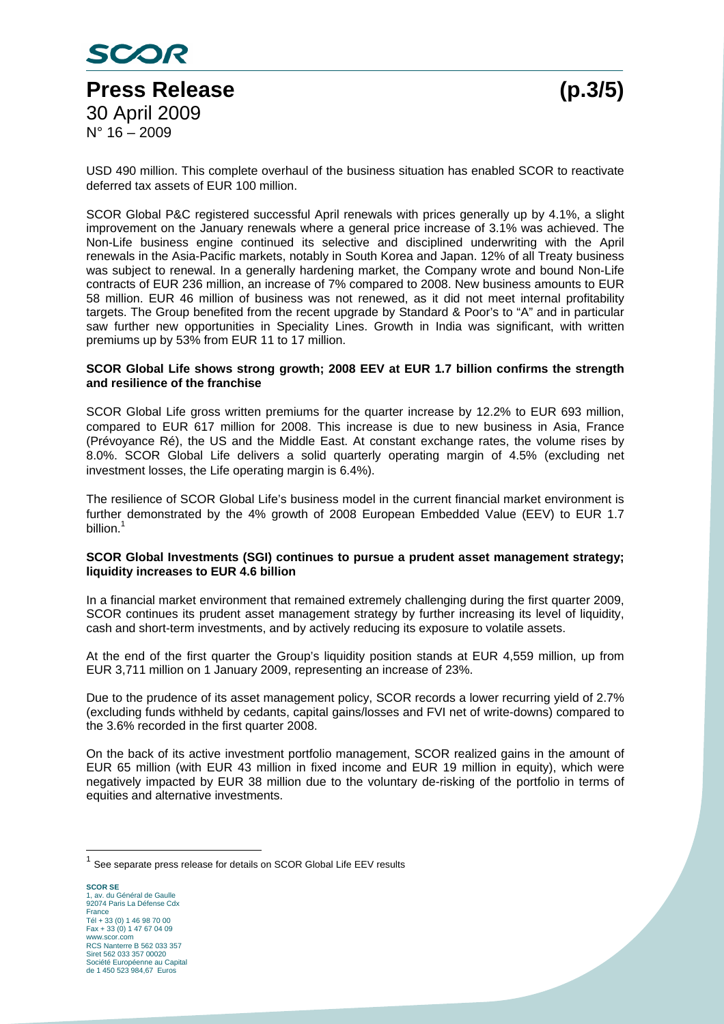

USD 490 million. This complete overhaul of the business situation has enabled SCOR to reactivate deferred tax assets of EUR 100 million.

SCOR Global P&C registered successful April renewals with prices generally up by 4.1%, a slight improvement on the January renewals where a general price increase of 3.1% was achieved. The Non-Life business engine continued its selective and disciplined underwriting with the April renewals in the Asia-Pacific markets, notably in South Korea and Japan. 12% of all Treaty business was subject to renewal. In a generally hardening market, the Company wrote and bound Non-Life contracts of EUR 236 million, an increase of 7% compared to 2008. New business amounts to EUR 58 million. EUR 46 million of business was not renewed, as it did not meet internal profitability targets. The Group benefited from the recent upgrade by Standard & Poor's to "A" and in particular saw further new opportunities in Speciality Lines. Growth in India was significant, with written premiums up by 53% from EUR 11 to 17 million.

### **SCOR Global Life shows strong growth; 2008 EEV at EUR 1.7 billion confirms the strength and resilience of the franchise**

SCOR Global Life gross written premiums for the quarter increase by 12.2% to EUR 693 million, compared to EUR 617 million for 2008. This increase is due to new business in Asia, France (Prévoyance Ré), the US and the Middle East. At constant exchange rates, the volume rises by 8.0%. SCOR Global Life delivers a solid quarterly operating margin of 4.5% (excluding net investment losses, the Life operating margin is 6.4%).

The resilience of SCOR Global Life's business model in the current financial market environment is further demonstrated by the 4% growth of 2008 European Embedded Value (EEV) to EUR 1.7 billion. $^1$ 

#### **SCOR Global Investments (SGI) continues to pursue a prudent asset management strategy; liquidity increases to EUR 4.6 billion**

In a financial market environment that remained extremely challenging during the first quarter 2009, SCOR continues its prudent asset management strategy by further increasing its level of liquidity, cash and short-term investments, and by actively reducing its exposure to volatile assets.

At the end of the first quarter the Group's liquidity position stands at EUR 4,559 million, up from EUR 3,711 million on 1 January 2009, representing an increase of 23%.

Due to the prudence of its asset management policy, SCOR records a lower recurring yield of 2.7% (excluding funds withheld by cedants, capital gains/losses and FVI net of write-downs) compared to the 3.6% recorded in the first quarter 2008.

On the back of its active investment portfolio management, SCOR realized gains in the amount of EUR 65 million (with EUR 43 million in fixed income and EUR 19 million in equity), which were negatively impacted by EUR 38 million due to the voluntary de-risking of the portfolio in terms of equities and alternative investments.

 $\overline{a}$ 

 $1$  See separate press release for details on SCOR Global Life EEV results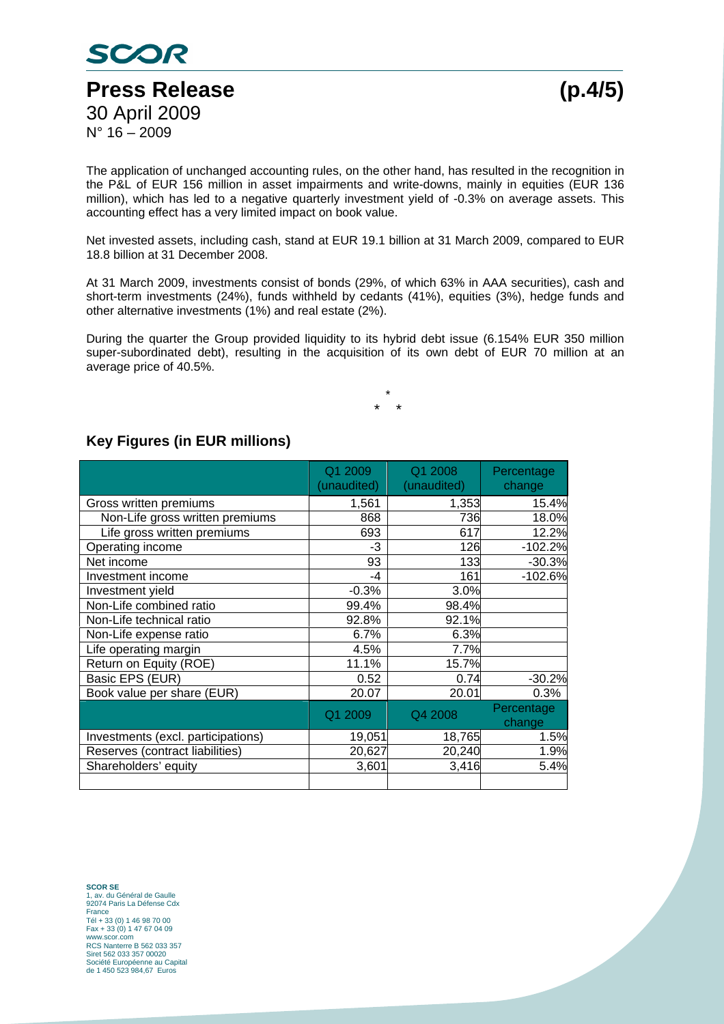

The application of unchanged accounting rules, on the other hand, has resulted in the recognition in the P&L of EUR 156 million in asset impairments and write-downs, mainly in equities (EUR 136 million), which has led to a negative quarterly investment yield of -0.3% on average assets. This accounting effect has a very limited impact on book value.

Net invested assets, including cash, stand at EUR 19.1 billion at 31 March 2009, compared to EUR 18.8 billion at 31 December 2008.

At 31 March 2009, investments consist of bonds (29%, of which 63% in AAA securities), cash and short-term investments (24%), funds withheld by cedants (41%), equities (3%), hedge funds and other alternative investments (1%) and real estate (2%).

During the quarter the Group provided liquidity to its hybrid debt issue (6.154% EUR 350 million super-subordinated debt), resulting in the acquisition of its own debt of EUR 70 million at an average price of 40.5%.

> \* \* \*

## **Key Figures (in EUR millions)**

|                                    | Q1 2009<br>(unaudited) | Q1 2008<br>(unaudited) | Percentage<br>change |
|------------------------------------|------------------------|------------------------|----------------------|
| Gross written premiums             | 1,561                  | 1,353                  | 15.4%                |
| Non-Life gross written premiums    | 868                    | 736                    | 18.0%                |
| Life gross written premiums        | 693                    | 617                    | 12.2%                |
| Operating income                   | -3                     | 126                    | $-102.2%$            |
| Net income                         | 93                     | 133                    | $-30.3%$             |
| Investment income                  | $-4$                   | 161                    | $-102.6%$            |
| Investment yield                   | $-0.3%$                | 3.0%                   |                      |
| Non-Life combined ratio            | 99.4%                  | 98.4%                  |                      |
| Non-Life technical ratio           | 92.8%                  | 92.1%                  |                      |
| Non-Life expense ratio             | 6.7%                   | 6.3%                   |                      |
| Life operating margin              | 4.5%                   | 7.7%                   |                      |
| Return on Equity (ROE)             | 11.1%                  | 15.7%                  |                      |
| Basic EPS (EUR)                    | 0.52                   | 0.74                   | $-30.2%$             |
| Book value per share (EUR)         | 20.07                  | 20.01                  | 0.3%                 |
|                                    | Q1 2009                | Q4 2008                | Percentage<br>change |
| Investments (excl. participations) | 19,051                 | 18,765                 | 1.5%                 |
| Reserves (contract liabilities)    | 20,627                 | 20,240                 | 1.9%                 |
| Shareholders' equity               | 3,601                  | 3,416                  | 5.4%                 |
|                                    |                        |                        |                      |

**SCOR SE**  1, av. du Général de Gaulle 92074 Paris La Défense Cdx France Tél + 33 (0) 1 46 98 70 00 Fax + 33 (0) 1 47 67 04 09 www.scor.com RCS Nanterre B 562 033 357 Siret 562 033 357 00020 Société Européenne au Capital de 1 450 523 984,67 Euros